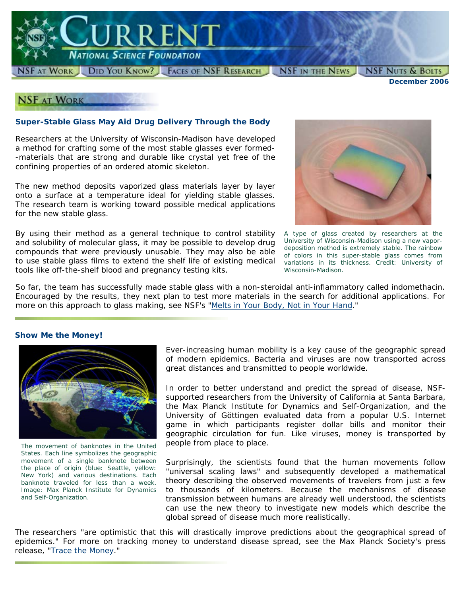

FAT WORK DID YOU KNOW? FACES OF NSF RESEARCH NSF IN THE NEWS

*December 2006*

**NSF NUTS & BOLTS** 

## **NSF AT WORK**

### **Super-Stable Glass May Aid Drug Delivery Through the Body**

Researchers at the University of Wisconsin-Madison have developed a method for crafting some of the most stable glasses ever formed- -materials that are strong and durable like crystal yet free of the confining properties of an ordered atomic skeleton.

The new method deposits vaporized glass materials layer by layer onto a surface at a temperature ideal for yielding stable glasses. The research team is working toward possible medical applications for the new stable glass.

By using their method as a general technique to control stability and solubility of molecular glass, it may be possible to develop drug compounds that were previously unusable. They may also be able to use stable glass films to extend the shelf life of existing medical tools like off-the-shelf blood and pregnancy testing kits.



*A type of glass created by researchers at the University of Wisconsin-Madison using a new vapordeposition method is extremely stable. The rainbow of colors in this super-stable glass comes from variations in its thickness. Credit: University of Wisconsin-Madison.*

So far, the team has successfully made stable glass with a non-steroidal anti-inflammatory called *indomethacin*. Encouraged by the results, they next plan to test more materials in the search for additional applications. For more on this approach to glass making, see NSF's "[Melts in Your Body, Not in Your Hand.](http://www.nsf.gov/news/news_summ.jsp?cntn_id=108230)"

#### **Show Me the Money!**



*The movement of banknotes in the United States. Each line symbolizes the geographic movement of a single banknote between the place of origin (blue: Seattle, yellow: New York) and various destinations. Each banknote traveled for less than a week. Image: Max Planck Institute for Dynamics and Self-Organization.*

Ever-increasing human mobility is a key cause of the geographic spread of modern epidemics. Bacteria and viruses are now transported across great distances and transmitted to people worldwide.

In order to better understand and predict the spread of disease, NSFsupported researchers from the University of California at Santa Barbara, the Max Planck Institute for Dynamics and Self-Organization, and the University of Göttingen evaluated data from a popular U.S. Internet game in which participants register dollar bills and monitor their geographic circulation for fun. Like viruses, money is transported by people from place to place.

Surprisingly, the scientists found that the human movements follow "universal scaling laws" and subsequently developed a mathematical theory describing the observed movements of travelers from just a few to thousands of kilometers. Because the mechanisms of disease transmission between humans are already well understood, the scientists can use the new theory to investigate new models which describe the global spread of disease much more realistically.

The researchers "are optimistic that this will drastically improve predictions about the geographical spread of epidemics." For more on tracking money to understand disease spread, see the Max Planck Society's press release, "[Trace the Money](http://www.mpg.de/english/illustrationsDocumentation/documentation/pressReleases/2006/pressRelease20060120/index.html)."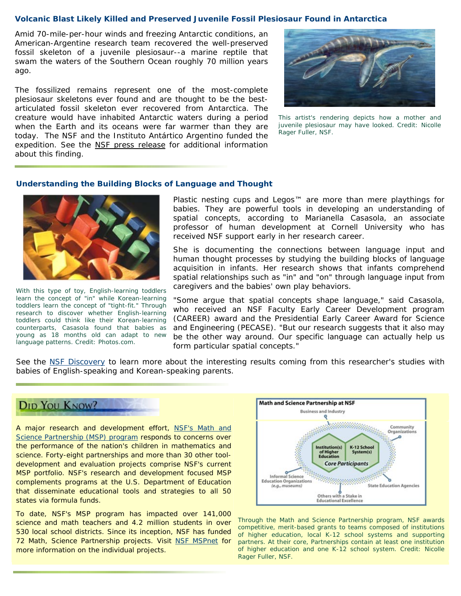#### **Volcanic Blast Likely Killed and Preserved Juvenile Fossil Plesiosaur Found in Antarctica**

Amid 70-mile-per-hour winds and freezing Antarctic conditions, an American-Argentine research team recovered the well-preserved fossil skeleton of a juvenile plesiosaur--a marine reptile that swam the waters of the Southern Ocean roughly 70 million years ago.

The fossilized remains represent one of the most-complete plesiosaur skeletons ever found and are thought to be the bestarticulated fossil skeleton ever recovered from Antarctica. The creature would have inhabited Antarctic waters during a period when the Earth and its oceans were far warmer than they are today. The NSF and the Instituto Antártico Argentino funded the expedition. See the [NSF press release](http://www.nsf.gov/news/news_summ.jsp?cntn_id=108195) for additional information about this finding.



*This artist's rendering depicts how a mother and juvenile plesiosaur may have looked. Credit: Nicolle Rager Fuller, NSF.*

#### **Understanding the Building Blocks of Language and Thought**



*With this type of toy, English-learning toddlers learn the concept of "in" while Korean-learning toddlers learn the concept of "tight-fit." Through research to discover whether English-learning toddlers could think like their Korean-learning counterparts, Casasola found that babies as young as 18 months old can adapt to new language patterns. Credit: Photos.com.*

Plastic nesting cups and Legos™ are more than mere playthings for babies. They are powerful tools in developing an understanding of spatial concepts, according to Marianella Casasola, an associate professor of human development at Cornell University who has received NSF support early in her research career.

She is documenting the connections between language input and human thought processes by studying the building blocks of language acquisition in infants. Her research shows that infants comprehend spatial relationships such as "in" and "on" through language input from caregivers and the babies' own play behaviors.

"Some argue that spatial concepts shape language," said Casasola, who received an NSF Faculty Early Career Development program (CAREER) award and the Presidential Early Career Award for Science and Engineering (PECASE). "But our research suggests that it also may be the other way around. Our specific language can actually help us form particular spatial concepts."

See the [NSF Discovery](http://www.nsf.gov/discoveries/disc_summ.jsp?cntn_id=108161) to learn more about the interesting results coming from this researcher's studies with babies of English-speaking and Korean-speaking parents.



A major research and development effort, NSF's Math and [Science Partnership \(MSP\) program](http://www.nsf.gov/ehr/MSP/nsf05069_6.jsp) responds to concerns over the performance of the nation's children in mathematics and science. Forty-eight partnerships and more than 30 other tooldevelopment and evaluation projects comprise NSF's current MSP portfolio. NSF's research and development focused MSP complements programs at the U.S. Department of Education that disseminate educational tools and strategies to all 50 states via formula funds.

To date, NSF's MSP program has impacted over 141,000 science and math teachers and 4.2 million students in over 530 local school districts. Since its inception, NSF has funded 72 Math, Science Partnership projects. Visit [NSF MSPnet](http://hub.mspnet.org/) for more information on the individual projects.



*Through the Math and Science Partnership program, NSF awards competitive, merit-based grants to teams composed of institutions of higher education, local K-12 school systems and supporting partners. At their core, Partnerships contain at least one institution of higher education and one K-12 school system. Credit: Nicolle Rager Fuller, NSF.*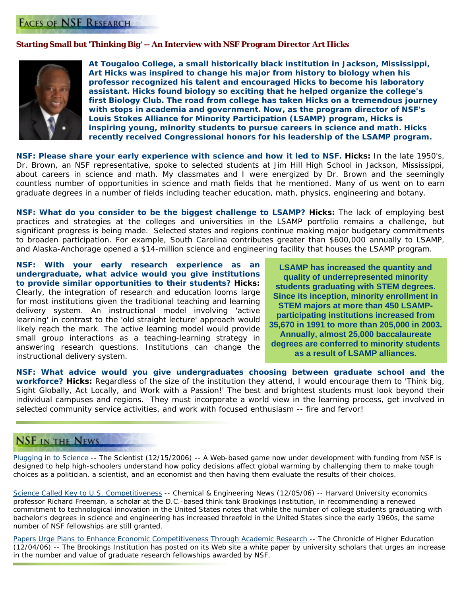## **FACES OF NSF RESEARCH**

### **Starting Small but 'Thinking Big' -- An Interview with NSF Program Director Art Hicks**



**At Tougaloo College, a small historically black institution in Jackson, Mississippi, Art Hicks was inspired to change his major from history to biology when his professor recognized his talent and encouraged Hicks to become his laboratory assistant. Hicks found biology so exciting that he helped organize the college's first Biology Club. The road from college has taken Hicks on a tremendous journey with stops in academia and government. Now, as the program director of NSF's Louis Stokes Alliance for Minority Participation (LSAMP) program, Hicks is inspiring young, minority students to pursue careers in science and math. Hicks recently received Congressional honors for his leadership of the LSAMP program.** 

*NSF: Please share your early experience with science and how it led to NSF. Hicks: In the late 1950's,* Dr. Brown, an NSF representative, spoke to selected students at Jim Hill High School in Jackson, Mississippi, about careers in science and math. My classmates and I were energized by Dr. Brown and the seemingly countless number of opportunities in science and math fields that he mentioned. Many of us went on to earn graduate degrees in a number of fields including teacher education, math, physics, engineering and botany.

*NSF: What do you consider to be the biggest challenge to LSAMP?* Hicks: The lack of employing best practices and strategies at the colleges and universities in the LSAMP portfolio remains a challenge, but significant progress is being made. Selected states and regions continue making major budgetary commitments to broaden participation. For example, South Carolina contributes greater than \$600,000 annually to LSAMP, and Alaska-Anchorage opened a \$14-million science and engineering facility that houses the LSAMP program.

*NSF: With your early research experience as an undergraduate, what advice would you give institutions to provide similar opportunities to their students?* **Hicks:** Clearly, the integration of research and education looms large for most institutions given the traditional teaching and learning delivery system. An instructional model involving 'active learning' in contrast to the 'old straight lecture' approach would likely reach the mark. The active learning model would provide small group interactions as a teaching-learning strategy in answering research questions. Institutions can change the instructional delivery system.

**LSAMP has increased the quantity and quality of underrepresented minority students graduating with STEM degrees. Since its inception, minority enrollment in STEM majors at more than 450 LSAMPparticipating institutions increased from 35,670 in 1991 to more than 205,000 in 2003. Annually, almost 25,000 baccalaureate degrees are conferred to minority students as a result of LSAMP alliances.**

*NSF: What advice would you give undergraduates choosing between graduate school and the workforce?* **Hicks:** Regardless of the size of the institution they attend, I would encourage them to 'Think big, Sight Globally, Act Locally, and Work with a Passion!' The best and brightest students must look beyond their individual campuses and regions. They must incorporate a world view in the learning process, get involved in selected community service activities, and work with focused enthusiasm -- fire and fervor!

## **NSF IN THE NEWS**

[Plugging in to Science](http://www.thescientist.com/news/display/37744/) -- *The Scientist (12/15/2006)* -- A Web-based game now under development with funding from NSF is designed to help high-schoolers understand how policy decisions affect global warming by challenging them to make tough choices as a politician, a scientist, and an economist and then having them evaluate the results of their choices.

[Science Called Key to U.S. Competitiveness](http://pubs.acs.org/cen/news/84/i50/8450competitive.html) -- *Chemical & Engineering News (12/05/06)* -- Harvard University economics professor Richard Freeman, a scholar at the D.C.-based think tank Brookings Institution, in recommending a renewed commitment to technological innovation in the United States notes that while the number of college students graduating with bachelor's degrees in science and engineering has increased threefold in the United States since the early 1960s, the same number of NSF fellowships are still granted.

Papers Urge [Plans to Enhance Economic Competitiveness Through Academic Research](http://chronicle.com/news/article/1359/papers-urge-plans-to-enhance-economic-competitiveness-through-academic-research) -- *The Chronicle of Higher Education (12/04/06)* -- The Brookings Institution has posted on its Web site a white paper by university scholars that urges an increase in the number and value of graduate research fellowships awarded by NSF.